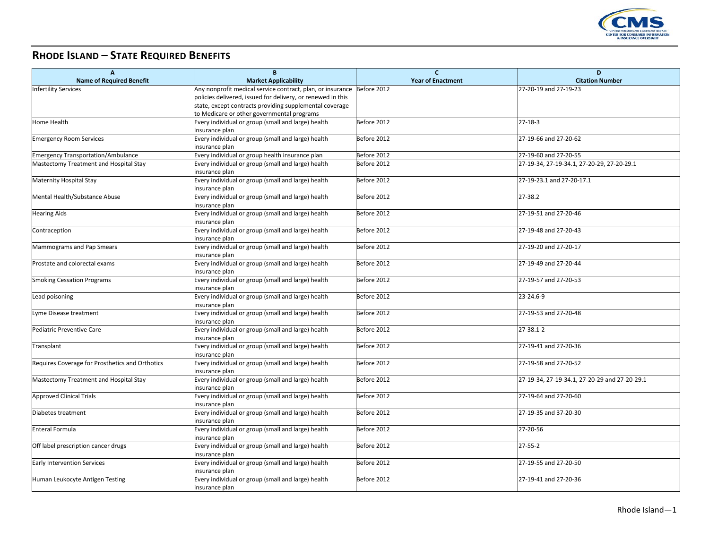

## **RHODE ISLAND – STATE REQUIRED BENEFITS**

| $\overline{A}$                                  | B                                                                       | $\mathbf{C}$             | D                                             |
|-------------------------------------------------|-------------------------------------------------------------------------|--------------------------|-----------------------------------------------|
| <b>Name of Required Benefit</b>                 | <b>Market Applicability</b>                                             | <b>Year of Enactment</b> | <b>Citation Number</b>                        |
| <b>Infertility Services</b>                     | Any nonprofit medical service contract, plan, or insurance  Before 2012 |                          | 27-20-19 and 27-19-23                         |
|                                                 | policies delivered, issued for delivery, or renewed in this             |                          |                                               |
|                                                 | state, except contracts providing supplemental coverage                 |                          |                                               |
|                                                 | to Medicare or other governmental programs                              |                          |                                               |
| Home Health                                     | Every individual or group (small and large) health<br>insurance plan    | Before 2012              | $27 - 18 - 3$                                 |
| <b>Emergency Room Services</b>                  | Every individual or group (small and large) health<br>insurance plan    | Before 2012              | 27-19-66 and 27-20-62                         |
| <b>Emergency Transportation/Ambulance</b>       | Every individual or group health insurance plan                         | Before 2012              | 27-19-60 and 27-20-55                         |
| Mastectomy Treatment and Hospital Stay          | Every individual or group (small and large) health                      | Before 2012              | 27-19-34, 27-19-34.1, 27-20-29, 27-20-29.1    |
|                                                 | insurance plan                                                          |                          |                                               |
| <b>Maternity Hospital Stay</b>                  | Every individual or group (small and large) health                      | Before 2012              | 27-19-23.1 and 27-20-17.1                     |
|                                                 | insurance plan                                                          |                          |                                               |
| Mental Health/Substance Abuse                   | Every individual or group (small and large) health<br>insurance plan    | Before 2012              | 27-38.2                                       |
| <b>Hearing Aids</b>                             | Every individual or group (small and large) health                      | Before 2012              | 27-19-51 and 27-20-46                         |
|                                                 | insurance plan                                                          |                          |                                               |
| Contraception                                   | Every individual or group (small and large) health                      | Before 2012              | 27-19-48 and 27-20-43                         |
|                                                 | insurance plan                                                          |                          |                                               |
| Mammograms and Pap Smears                       | Every individual or group (small and large) health                      | Before 2012              | 27-19-20 and 27-20-17                         |
|                                                 | insurance plan                                                          |                          |                                               |
| Prostate and colorectal exams                   | Every individual or group (small and large) health                      | Before 2012              | 27-19-49 and 27-20-44                         |
|                                                 | insurance plan                                                          |                          |                                               |
| <b>Smoking Cessation Programs</b>               | Every individual or group (small and large) health                      | Before 2012              | 27-19-57 and 27-20-53                         |
|                                                 | insurance plan                                                          |                          |                                               |
| Lead poisoning                                  | Every individual or group (small and large) health                      | Before 2012              | 23-24.6-9                                     |
| Lyme Disease treatment                          | insurance plan<br>Every individual or group (small and large) health    | Before 2012              | 27-19-53 and 27-20-48                         |
|                                                 | insurance plan                                                          |                          |                                               |
| Pediatric Preventive Care                       | Every individual or group (small and large) health                      | Before 2012              | 27-38.1-2                                     |
|                                                 | insurance plan                                                          |                          |                                               |
| Transplant                                      | Every individual or group (small and large) health                      | Before 2012              | 27-19-41 and 27-20-36                         |
|                                                 | insurance plan                                                          |                          |                                               |
| Requires Coverage for Prosthetics and Orthotics | Every individual or group (small and large) health                      | Before 2012              | 27-19-58 and 27-20-52                         |
|                                                 | insurance plan                                                          |                          |                                               |
| Mastectomy Treatment and Hospital Stay          | Every individual or group (small and large) health                      | Before 2012              | 27-19-34, 27-19-34.1, 27-20-29 and 27-20-29.1 |
|                                                 | insurance plan                                                          |                          |                                               |
| <b>Approved Clinical Trials</b>                 | Every individual or group (small and large) health                      | Before 2012              | 27-19-64 and 27-20-60                         |
|                                                 | insurance plan                                                          |                          |                                               |
| Diabetes treatment                              | Every individual or group (small and large) health                      | Before 2012              | 27-19-35 and 37-20-30                         |
|                                                 | insurance plan                                                          |                          |                                               |
| Enteral Formula                                 | Every individual or group (small and large) health                      | Before 2012              | 27-20-56                                      |
|                                                 | insurance plan<br>Every individual or group (small and large) health    |                          | $27 - 55 - 2$                                 |
| Off label prescription cancer drugs             | insurance plan                                                          | Before 2012              |                                               |
| <b>Early Intervention Services</b>              | Every individual or group (small and large) health                      | Before 2012              | 27-19-55 and 27-20-50                         |
|                                                 | insurance plan                                                          |                          |                                               |
| Human Leukocyte Antigen Testing                 | Every individual or group (small and large) health                      | Before 2012              | 27-19-41 and 27-20-36                         |
|                                                 | insurance plan                                                          |                          |                                               |